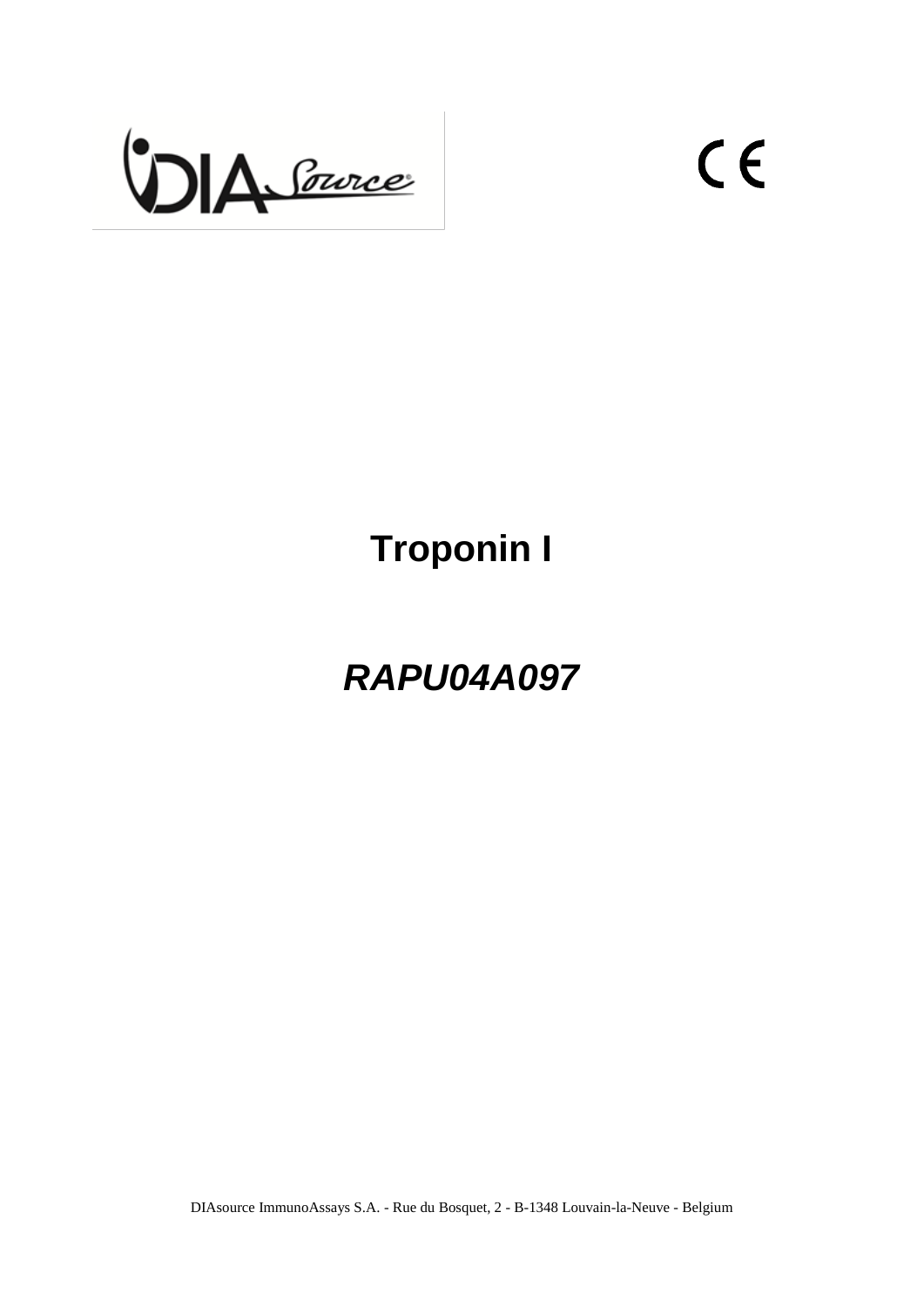

 $C<sub>f</sub>$ 

# **Troponin I**

*RAPU04A097*

DIAsource ImmunoAssays S.A. - Rue du Bosquet, 2 - B-1348 Louvain-la-Neuve - Belgium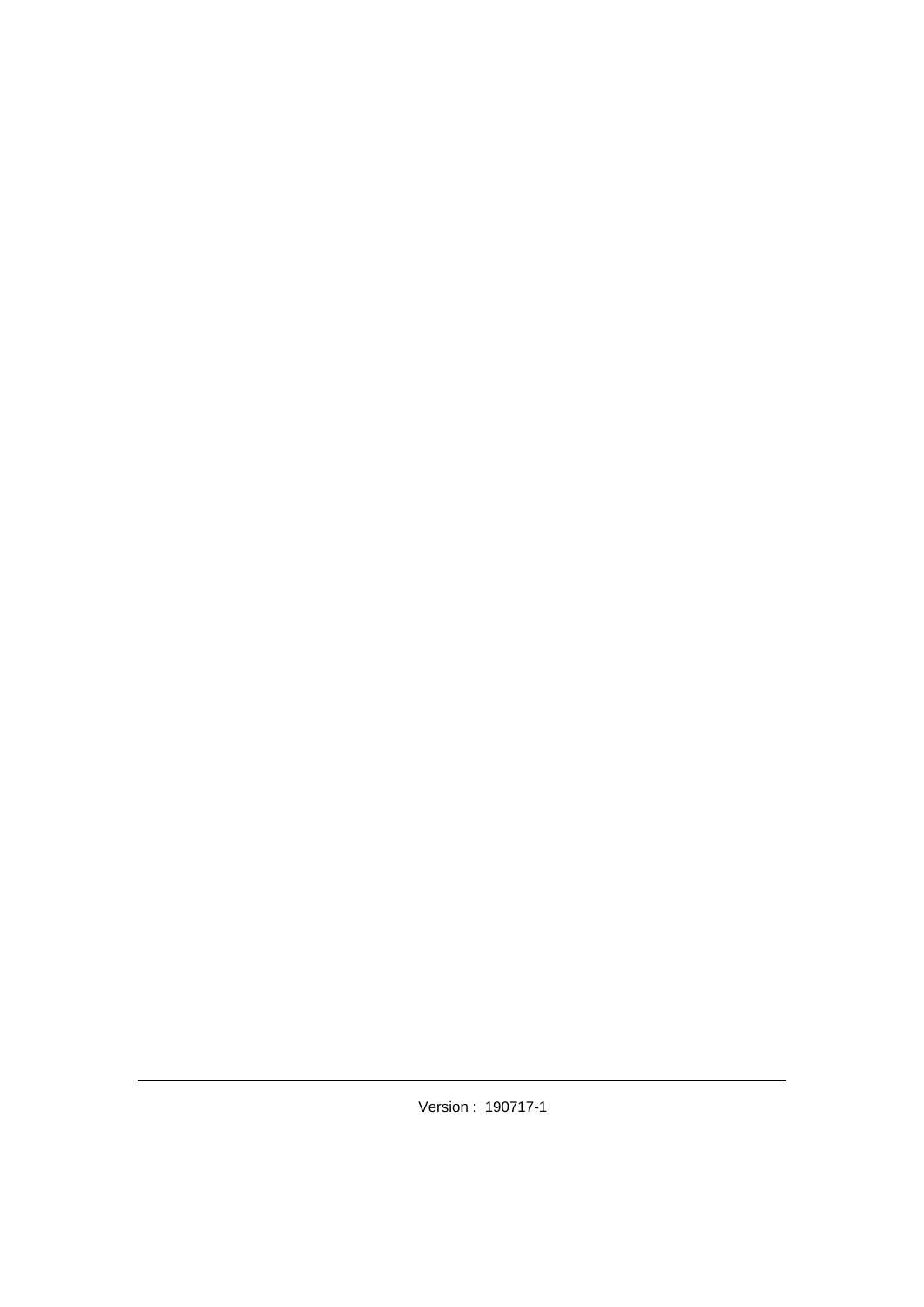Version : 190717-1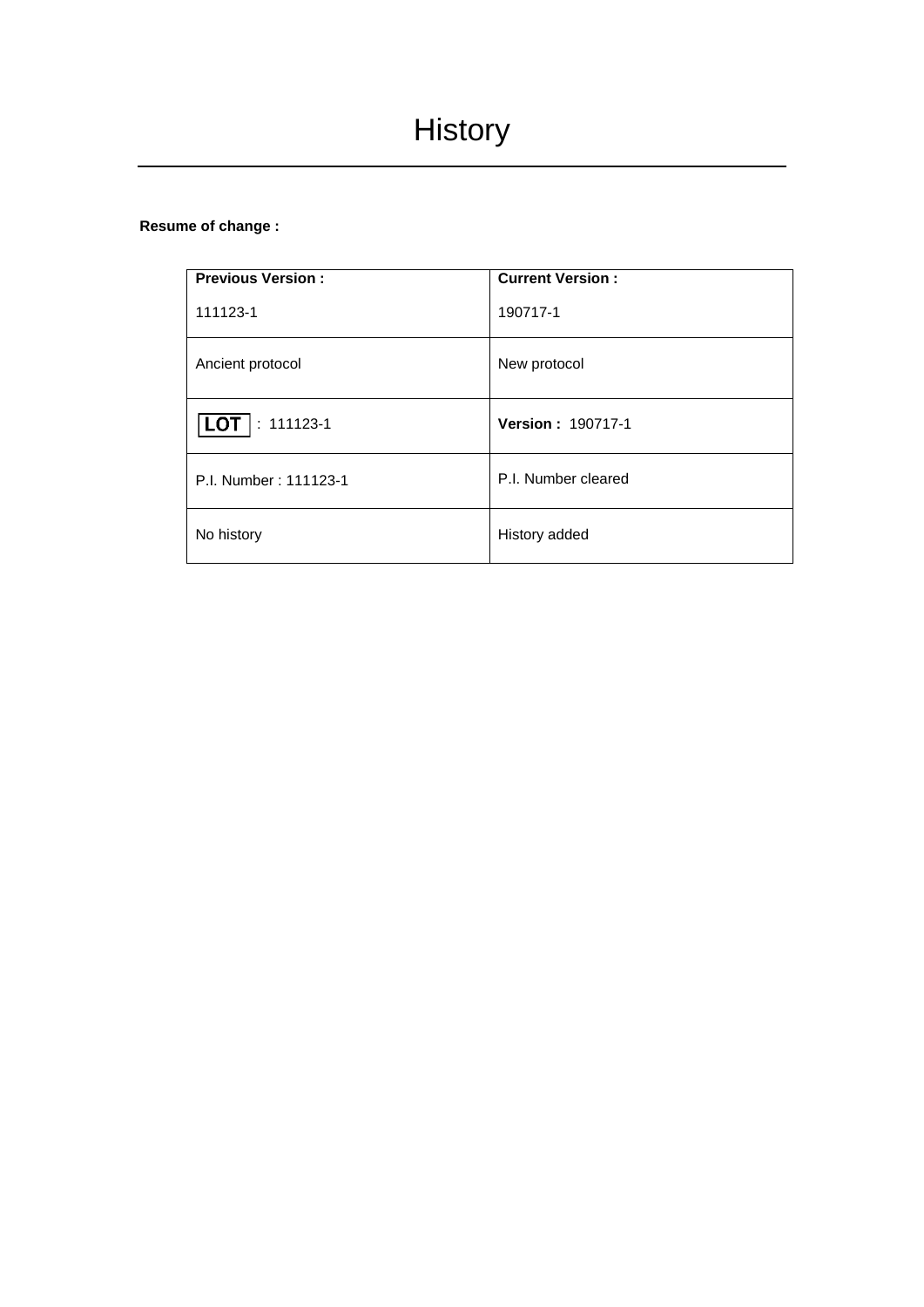## **Resume of change :**

| <b>Previous Version:</b>     | <b>Current Version:</b>  |
|------------------------------|--------------------------|
| 111123-1                     | 190717-1                 |
| Ancient protocol             | New protocol             |
| $: 111123 - 1$<br><b>LOT</b> | <b>Version: 190717-1</b> |
| P.I. Number: 111123-1        | P.I. Number cleared      |
| No history                   | History added            |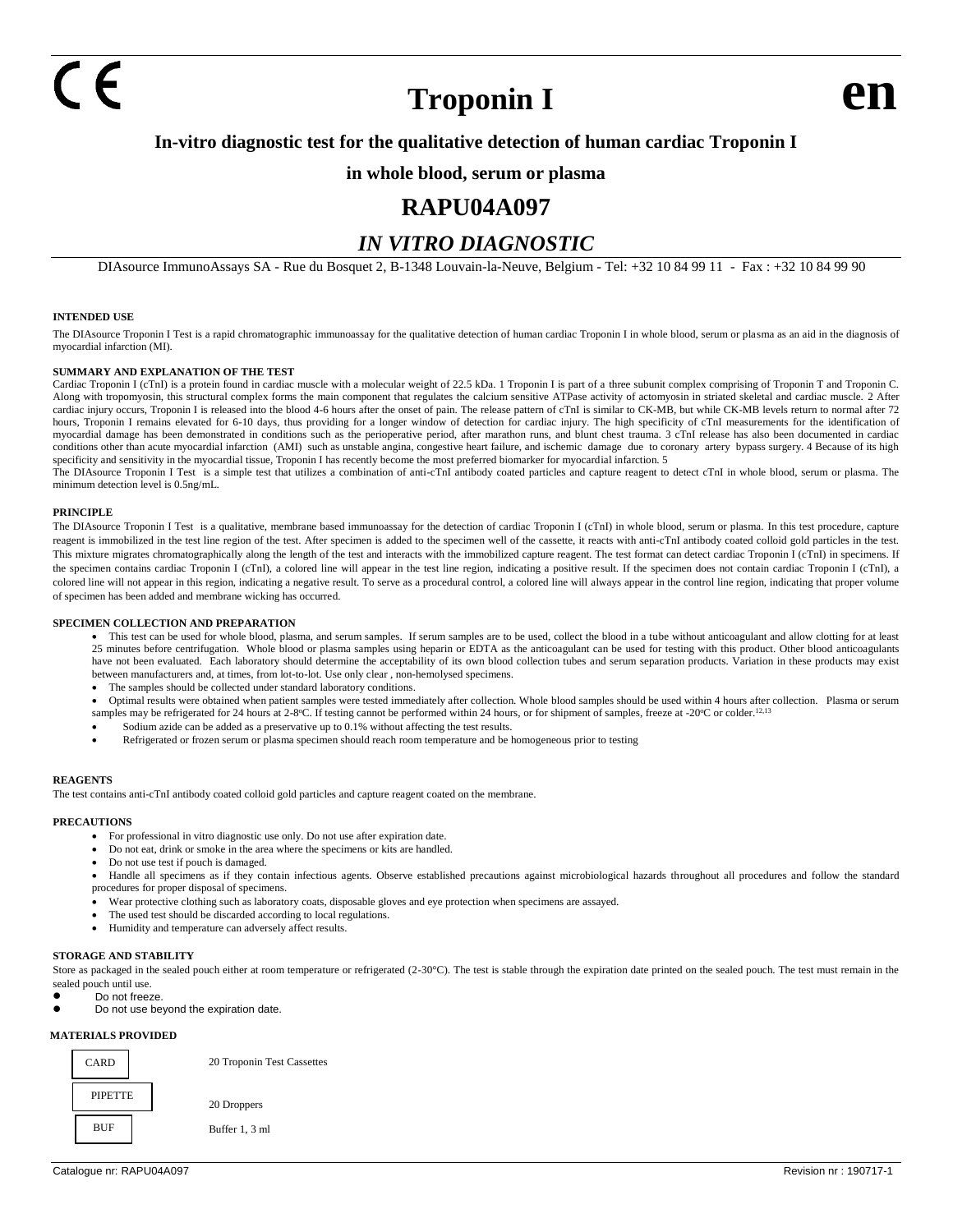## **Troponin I**

## **In-vitro diagnostic test for the qualitative detection of human cardiac Troponin I**

### **in whole blood, serum or plasma**

## **RAPU04A097**

## *IN VITRO DIAGNOSTIC*

DIAsource ImmunoAssays SA - Rue du Bosquet 2, B-1348 Louvain-la-Neuve, Belgium - Tel: +32 10 84 99 11 - Fax : +32 10 84 99 90

### **INTENDED USE**

The DIAsource Troponin I Test is a rapid chromatographic immunoassay for the qualitative detection of human cardiac Troponin I in whole blood, serum or plasma as an aid in the diagnosis of myocardial infarction (MI).

#### **SUMMARY AND EXPLANATION OF THE TEST**

Cardiac Troponin I (cTnI) is a protein found in cardiac muscle with a molecular weight of 22.5 kDa. 1 Troponin I is part of a three subunit complex comprising of Troponin T and Troponin C. Along with tropomyosin, this structural complex forms the main component that regulates the calcium sensitive ATPase activity of actomyosin in striated skeletal and cardiac muscle. 2 After cardiac injury occurs, Troponin I is released into the blood 4-6 hours after the onset of pain. The release pattern of cTnI is similar to CK-MB, but while CK-MB levels return to normal after 72 hours, Troponin I remains elevated for 6-10 days, thus providing for a longer window of detection for cardiac injury. The high specificity of cTnI measurements for the identification of myocardial damage has been demonstrated in conditions such as the perioperative period, after marathon runs, and blunt chest trauma. 3 cTnI release has also been documented in cardiac conditions other than acute myocardial infarction (AMI) such as unstable angina, congestive heart failure, and ischemic damage due to coronary artery bypass surgery. 4 Because of its high specificity and sensitivity in the myocardial tissue, Troponin I has recently become the most preferred biomarker for myocardial infarction. 5

The DIAsource Troponin I Test is a simple test that utilizes a combination of anti-cTnI antibody coated particles and capture reagent to detect cTnI in whole blood, serum or plasma. The minimum detection level is 0.5ng/mL.

#### **PRINCIPLE**

The DIAsource Troponin I Test is a qualitative, membrane based immunoassay for the detection of cardiac Troponin I (cTnI) in whole blood, serum or plasma. In this test procedure, capture reagent is immobilized in the test line region of the test. After specimen is added to the specimen well of the cassette, it reacts with anti-cTnI antibody coated colloid gold particles in the test. This mixture migrates chromatographically along the length of the test and interacts with the immobilized capture reagent. The test format can detect cardiac Troponin I (cTnI) in specimens. If the specimen contains cardiac Troponin I (cTnI), a colored line will appear in the test line region, indicating a positive result. If the specimen does not contain cardiac Troponin I (cTnI), a colored line will not appear in this region, indicating a negative result. To serve as a procedural control, a colored line will always appear in the control line region, indicating that proper volume of specimen has been added and membrane wicking has occurred.

#### **SPECIMEN COLLECTION AND PREPARATION**

• This test can be used for whole blood, plasma, and serum samples. If serum samples are to be used, collect the blood in a tube without anticoagulant and allow clotting for at least 25 minutes before centrifugation. Whole blood or plasma samples using heparin or EDTA as the anticoagulant can be used for testing with this product. Other blood anticoagulants have not been evaluated. Each laboratory should determine the acceptability of its own blood collection tubes and serum separation products. Variation in these products may exist between manufacturers and, at times, from lot-to-lot. Use only clear , non-hemolysed specimens.

- The samples should be collected under standard laboratory conditions.
- Optimal results were obtained when patient samples were tested immediately after collection. Whole blood samples should be used within 4 hours after collection. Plasma or serum samples may be refrigerated for 24 hours at 2-8°C. If testing cannot be performed within 24 hours, or for shipment of samples, freeze at -20°C or colder.<sup>12,13</sup>
- Sodium azide can be added as a preservative up to 0.1% without affecting the test results.
- Refrigerated or frozen serum or plasma specimen should reach room temperature and be homogeneous prior to testing

#### **REAGENTS**

The test contains anti-cTnI antibody coated colloid gold particles and capture reagent coated on the membrane.

#### **PRECAUTIONS**

- For professional in vitro diagnostic use only. Do not use after expiration date.
- Do not eat, drink or smoke in the area where the specimens or kits are handled.
- Do not use test if pouch is damaged.
- Handle all specimens as if they contain infectious agents. Observe established precautions against microbiological hazards throughout all procedures and follow the standard procedures for proper disposal of specimens.
- Wear protective clothing such as laboratory coats, disposable gloves and eye protection when specimens are assayed.
- The used test should be discarded according to local regulations.
- Humidity and temperature can adversely affect results.

#### **STORAGE AND STABILITY**

- Store as packaged in the sealed pouch either at room temperature or refrigerated (2-30°C). The test is stable through the expiration date printed on the sealed pouch. The test must remain in the sealed pouch until use.
- Do not freeze
- ⚫ Do not use beyond the expiration date.

#### **MATERIALS PROVIDED**



20 Troponin Test Cassettes

 20 Droppers Buffer 1, 3 ml

Catalogue nr: RAPU04A097 **Revision nr: 190717-1** Revision nr: 190717-1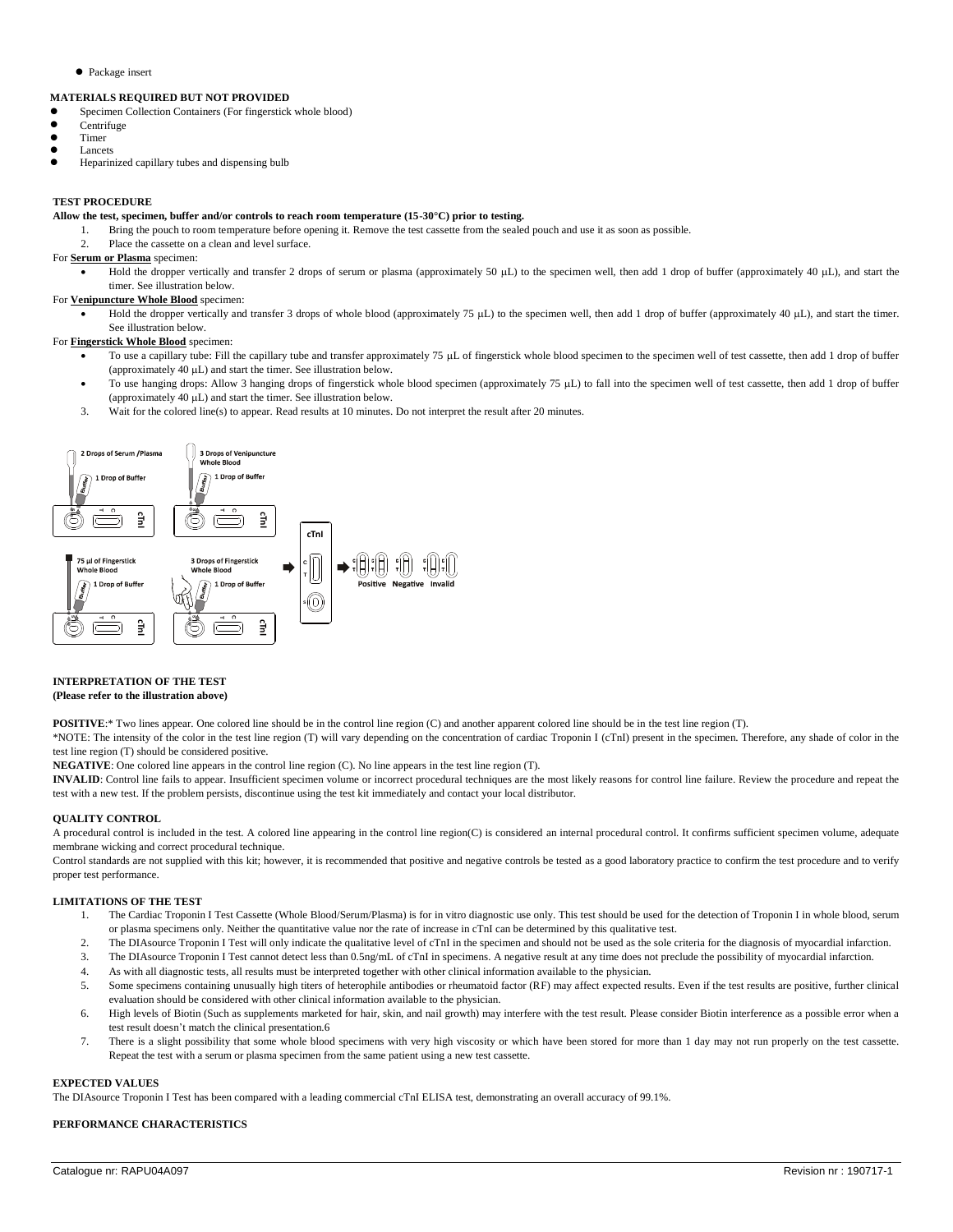⚫ Package insert

#### **MATERIALS REQUIRED BUT NOT PROVIDED**

- ⚫ Specimen Collection Containers (For fingerstick whole blood)
- Centrifuge
- Timer
- Lancets
- ⚫ Heparinized capillary tubes and dispensing bulb

#### **TEST PROCEDURE**

#### **Allow the test, specimen, buffer and/or controls to reach room temperature (15-30°C) prior to testing.**

- 1. Bring the pouch to room temperature before opening it. Remove the test cassette from the sealed pouch and use it as soon as possible.
- 2. Place the cassette on a clean and level surface.

#### For **Serum or Plasma** specimen:

Hold the dropper vertically and transfer 2 drops of serum or plasma (approximately 50  $\mu$ L) to the specimen well, then add 1 drop of buffer (approximately 40  $\mu$ L), and start the timer. See illustration below.

#### For **Venipuncture Whole Blood** specimen:

Hold the dropper vertically and transfer 3 drops of whole blood (approximately 75 µL) to the specimen well, then add 1 drop of buffer (approximately 40 µL), and start the timer. See illustration below.

### For **Fingerstick Whole Blood** specimen:

- To use a capillary tube: Fill the capillary tube and transfer approximately 75 µL of fingerstick whole blood specimen to the specimen well of test cassette, then add 1 drop of buffer (approximately  $40 \mu L$ ) and start the timer. See illustration below.
- To use hanging drops: Allow 3 hanging drops of fingerstick whole blood specimen (approximately 75 µL) to fall into the specimen well of test cassette, then add 1 drop of buffer (approximately  $40 \mu L$ ) and start the timer. See illustration below.
- 3. Wait for the colored line(s) to appear. Read results at 10 minutes. Do not interpret the result after 20 minutes.



#### **INTERPRETATION OF THE TEST**

#### **(Please refer to the illustration above)**

**POSITIVE**:\* Two lines appear. One colored line should be in the control line region (C) and another apparent colored line should be in the test line region (T).

\*NOTE: The intensity of the color in the test line region (T) will vary depending on the concentration of cardiac Troponin I (cTnI) present in the specimen. Therefore, any shade of color in the test line region (T) should be considered positive.

**NEGATIVE**: One colored line appears in the control line region (C). No line appears in the test line region (T).

**INVALID**: Control line fails to appear. Insufficient specimen volume or incorrect procedural techniques are the most likely reasons for control line failure. Review the procedure and repeat the test with a new test. If the problem persists, discontinue using the test kit immediately and contact your local distributor.

#### **QUALITY CONTROL**

A procedural control is included in the test. A colored line appearing in the control line region(C) is considered an internal procedural control. It confirms sufficient specimen volume, adequate membrane wicking and correct procedural technique.

Control standards are not supplied with this kit; however, it is recommended that positive and negative controls be tested as a good laboratory practice to confirm the test procedure and to verify proper test performance.

#### **LIMITATIONS OF THE TEST**

- 1. The Cardiac Troponin I Test Cassette (Whole Blood/Serum/Plasma) is for in vitro diagnostic use only. This test should be used for the detection of Troponin I in whole blood, serum or plasma specimens only. Neither the quantitative value nor the rate of increase in cTnI can be determined by this qualitative test.
- 2. The DIAsource Troponin I Test will only indicate the qualitative level of cTnI in the specimen and should not be used as the sole criteria for the diagnosis of myocardial infarction.
- 3. The DIAsource Troponin I Test cannot detect less than 0.5ng/mL of cTnI in specimens. A negative result at any time does not preclude the possibility of myocardial infarction.
- 4. As with all diagnostic tests, all results must be interpreted together with other clinical information available to the physician.
- 5. Some specimens containing unusually high titers of heterophile antibodies or rheumatoid factor (RF) may affect expected results. Even if the test results are positive, further clinical evaluation should be considered with other clinical information available to the physician.
- 6. High levels of Biotin (Such as supplements marketed for hair, skin, and nail growth) may interfere with the test result. Please consider Biotin interference as a possible error when a test result doesn't match the clinical presentation.6
- 7. There is a slight possibility that some whole blood specimens with very high viscosity or which have been stored for more than 1 day may not run properly on the test cassette. Repeat the test with a serum or plasma specimen from the same patient using a new test cassette.

#### **EXPECTED VALUES**

The DIAsource Troponin I Test has been compared with a leading commercial cTnI ELISA test, demonstrating an overall accuracy of 99.1%.

#### **PERFORMANCE CHARACTERISTICS**